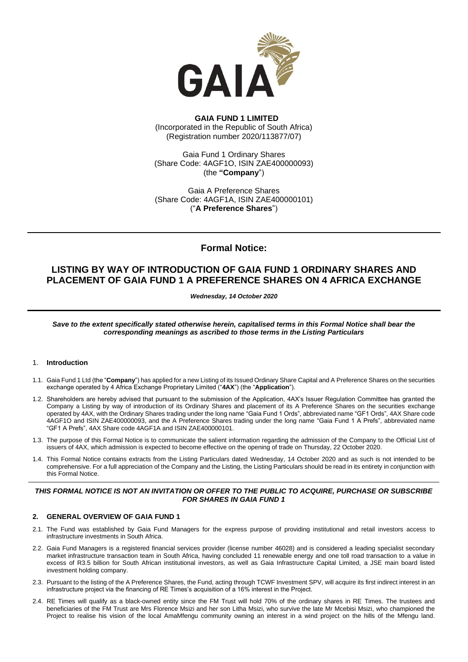

# **GAIA FUND 1 LIMITED** (Incorporated in the Republic of South Africa) (Registration number 2020/113877/07)

Gaia Fund 1 Ordinary Shares (Share Code: 4AGF1O, ISIN ZAE400000093) (the **"Company**")

Gaia A Preference Shares (Share Code: 4AGF1A, ISIN ZAE400000101) ("**A Preference Shares**")

# **Formal Notice:**

# **LISTING BY WAY OF INTRODUCTION OF GAIA FUND 1 ORDINARY SHARES AND PLACEMENT OF GAIA FUND 1 A PREFERENCE SHARES ON 4 AFRICA EXCHANGE**

*Wednesday, 14 October 2020*

*Save to the extent specifically stated otherwise herein, capitalised terms in this Formal Notice shall bear the corresponding meanings as ascribed to those terms in the Listing Particulars*

## 1. **Introduction**

- 1.1. Gaia Fund 1 Ltd (the "**Company**") has applied for a new Listing of its Issued Ordinary Share Capital and A Preference Shares on the securities exchange operated by 4 Africa Exchange Proprietary Limited ("**4AX**") (the "**Application**").
- 1.2. Shareholders are hereby advised that pursuant to the submission of the Application, 4AX's Issuer Regulation Committee has granted the Company a Listing by way of introduction of its Ordinary Shares and placement of its A Preference Shares on the securities exchange operated by 4AX, with the Ordinary Shares trading under the long name "Gaia Fund 1 Ords", abbreviated name "GF1 Ords", 4AX Share code 4AGF1O and ISIN ZAE400000093, and the A Preference Shares trading under the long name "Gaia Fund 1 A Prefs", abbreviated name "GF1 A Prefs", 4AX Share code 4AGF1A and ISIN ZAE400000101.
- 1.3. The purpose of this Formal Notice is to communicate the salient information regarding the admission of the Company to the Official List of issuers of 4AX, which admission is expected to become effective on the opening of trade on Thursday, 22 October 2020.
- 1.4. This Formal Notice contains extracts from the Listing Particulars dated Wednesday, 14 October 2020 and as such is not intended to be comprehensive. For a full appreciation of the Company and the Listing, the Listing Particulars should be read in its entirety in conjunction with this Formal Notice.

## *THIS FORMAL NOTICE IS NOT AN INVITATION OR OFFER TO THE PUBLIC TO ACQUIRE, PURCHASE OR SUBSCRIBE FOR SHARES IN GAIA FUND 1*

# **2. GENERAL OVERVIEW OF GAIA FUND 1**

- 2.1. The Fund was established by Gaia Fund Managers for the express purpose of providing institutional and retail investors access to infrastructure investments in South Africa.
- 2.2. Gaia Fund Managers is a registered financial services provider (license number 46028) and is considered a leading specialist secondary market infrastructure transaction team in South Africa, having concluded 11 renewable energy and one toll road transaction to a value in excess of R3.5 billion for South African institutional investors, as well as Gaia Infrastructure Capital Limited, a JSE main board listed investment holding company.
- 2.3. Pursuant to the listing of the A Preference Shares, the Fund, acting through TCWF Investment SPV, will acquire its first indirect interest in an infrastructure project via the financing of RE Times's acquisition of a 16% interest in the Project.
- 2.4. RE Times will qualify as a black-owned entity since the FM Trust will hold 70% of the ordinary shares in RE Times. The trustees and beneficiaries of the FM Trust are Mrs Florence Msizi and her son Litha Msizi, who survive the late Mr Mcebisi Msizi, who championed the Project to realise his vision of the local AmaMfengu community owning an interest in a wind project on the hills of the Mfengu land.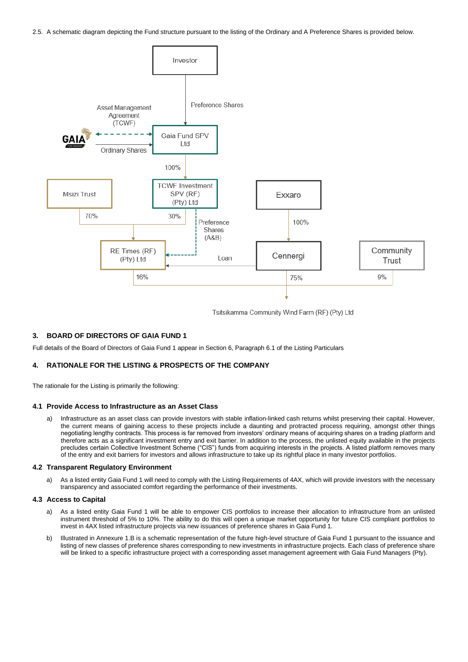2.5. A schematic diagram depicting the Fund structure pursuant to the listing of the Ordinary and A Preference Shares is provided below.



Tsitsikamma Community Wind Farm (RF) (Pty) Ltd

## **3. BOARD OF DIRECTORS OF GAIA FUND 1**

Full details of the Board of Directors of Gaia Fund 1 appear in Section 6, Paragraph 6.1 of the Listing Particulars

## **4. RATIONALE FOR THE LISTING & PROSPECTS OF THE COMPANY**

The rationale for the Listing is primarily the following:

#### **4.1 Provide Access to Infrastructure as an Asset Class**

a) Infrastructure as an asset class can provide investors with stable inflation-linked cash returns whilst preserving their capital. However, the current means of gaining access to these projects include a daunting and protracted process requiring, amongst other things negotiating lengthy contracts. This process is far removed from investors' ordinary means of acquiring shares on a trading platform and therefore acts as a significant investment entry and exit barrier. In addition to the process, the unlisted equity available in the projects precludes certain Collective Investment Scheme ("CIS") funds from acquiring interests in the projects. A listed platform removes many of the entry and exit barriers for investors and allows infrastructure to take up its rightful place in many investor portfolios.

#### **4.2 Transparent Regulatory Environment**

a) As a listed entity Gaia Fund 1 will need to comply with the Listing Requirements of 4AX, which will provide investors with the necessary transparency and associated comfort regarding the performance of their investments.

### **4.3 Access to Capital**

- a) As a listed entity Gaia Fund 1 will be able to empower CIS portfolios to increase their allocation to infrastructure from an unlisted instrument threshold of 5% to 10%. The ability to do this will open a unique market opportunity for future CIS compliant portfolios to invest in 4AX listed infrastructure projects via new issuances of preference shares in Gaia Fund 1.
- b) Illustrated in Annexure 1.B is a schematic representation of the future high-level structure of Gaia Fund 1 pursuant to the issuance and listing of new classes of preference shares corresponding to new investments in infrastructure projects. Each class of preference share will be linked to a specific infrastructure project with a corresponding asset management agreement with Gaia Fund Managers (Pty).